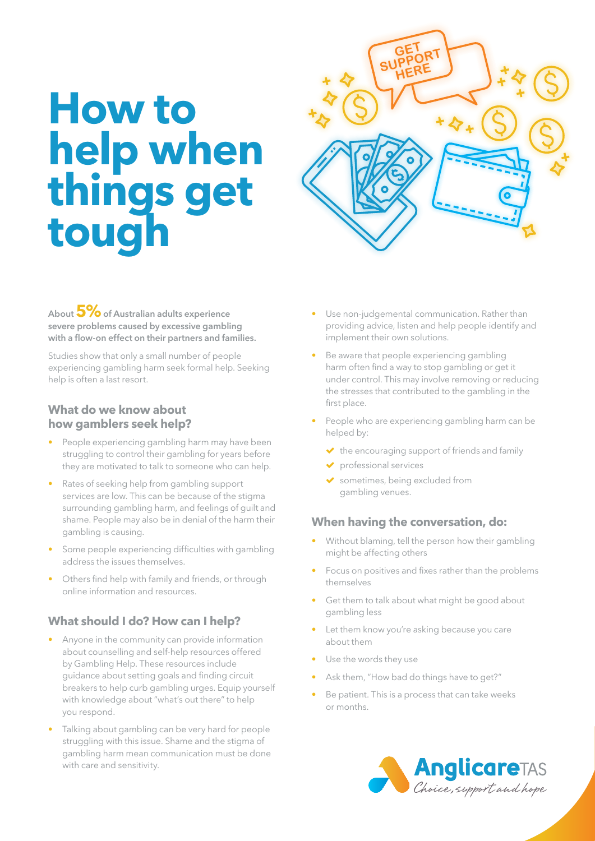# **How to help when things get tough**



**About 5% of Australian adults experience severe problems caused by excessive gambling with a flow-on effect on their partners and families.**

Studies show that only a small number of people experiencing gambling harm seek formal help. Seeking help is often a last resort.

### **What do we know about how gamblers seek help?**

- People experiencing gambling harm may have been struggling to control their gambling for years before they are motivated to talk to someone who can help.
- Rates of seeking help from gambling support services are low. This can be because of the stigma surrounding gambling harm, and feelings of guilt and shame. People may also be in denial of the harm their gambling is causing.
- Some people experiencing difficulties with gambling address the issues themselves.
- Others find help with family and friends, or through online information and resources.

# **What should I do? How can I help?**

- Anyone in the community can provide information about counselling and self-help resources offered by Gambling Help. These resources include guidance about setting goals and finding circuit breakers to help curb gambling urges. Equip yourself with knowledge about "what's out there" to help you respond.
- Talking about gambling can be very hard for people struggling with this issue. Shame and the stigma of gambling harm mean communication must be done with care and sensitivity.
- Use non-judgemental communication. Rather than providing advice, listen and help people identify and implement their own solutions.
- Be aware that people experiencing gambling harm often find a way to stop gambling or get it under control. This may involve removing or reducing the stresses that contributed to the gambling in the first place.
- People who are experiencing gambling harm can be helped by:
	- $\blacktriangleright$  the encouraging support of friends and family
	- professional services
	- sometimes, being excluded from gambling venues.

## **When having the conversation, do:**

- Without blaming, tell the person how their gambling might be affecting others
- Focus on positives and fixes rather than the problems themselves
- Get them to talk about what might be good about gambling less
- Let them know you're asking because you care about them
- Use the words they use
- Ask them, "How bad do things have to get?"
- Be patient. This is a process that can take weeks or months.